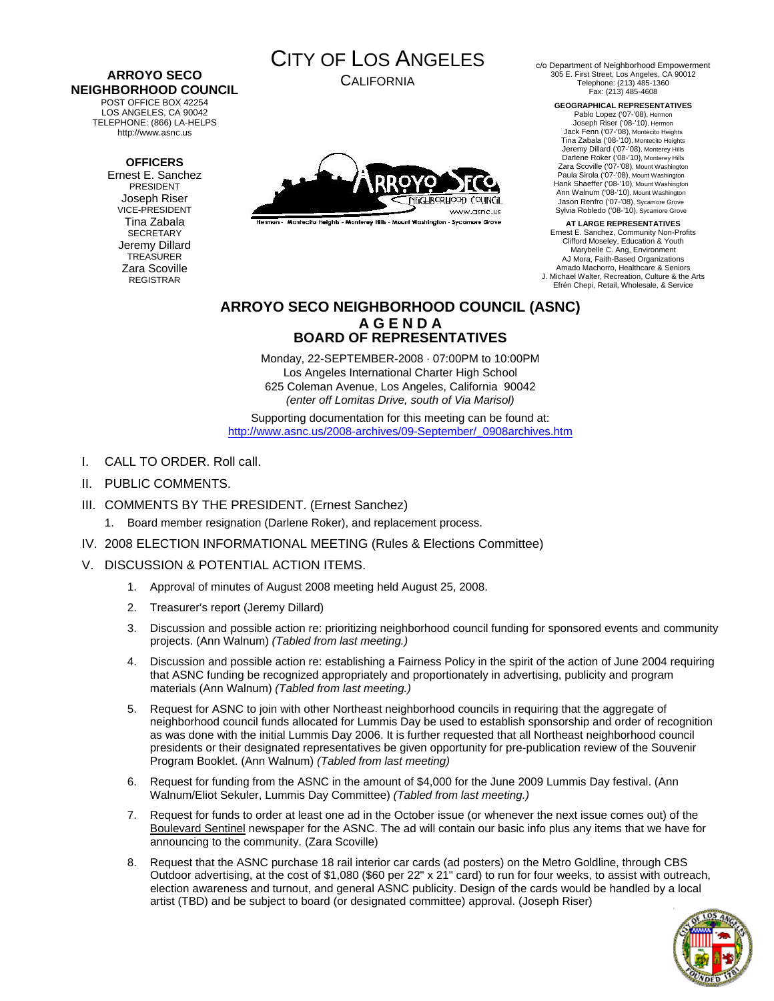#### **ARROYO SECO NEIGHBORHOOD COUNCIL**  POST OFFICE BOX 42254

LOS ANGELES, CA 90042 TELEPHONE: (866) LA-HELPS http://www.asnc.us

### **OFFICERS**

Ernest E. Sanchez PRESIDENT Joseph Riser VICE-PRESIDENT Tina Zabala **SECRETARY** Jeremy Dillard TREASURER Zara Scoville REGISTRAR



CALIFORNIA



rmon - Montecito Heights - Monterey Hills - Mount Washington - Sycamore Grove

c/o Department of Neighborhood Empowerment 305 E. First Street, Los Angeles, CA 90012 Telephone: (213) 485-1360 Fax: (213) 485-4608

**GEOGRAPHICAL REPRESENTATIVES** 

Pablo Lopez ('07-'08), Hermon Joseph Riser ('08-'10), Hermon Jack Fenn ('07-'08), Montecito Heights Tina Zabala ('08-'10), Montecito Heights Jeremy Dillard ('07-'08), Monterey Hills Darlene Roker ('08-'10), Monterey Hills Zara Scoville ('07-'08), Mount Washington Paula Sirola ('07-'08), Mount Washington Hank Shaeffer ('08-'10), Mount Washington Ann Walnum ('08-'10), Mount Washington Jason Renfro ('07-'08), Sycamore Grove Sylvia Robledo ('08-'10), Sycamore Grove

**AT LARGE REPRESENTATIVES**  Ernest E. Sanchez, Community Non-Profits Clifford Moseley, Education & Youth Marybelle C. Ang, Environment AJ Mora, Faith-Based Organizations Amado Machorro, Healthcare & Seniors J. Michael Walter, Recreation, Culture & the Arts Efrén Chepi, Retail, Wholesale, & Service

### **ARROYO SECO NEIGHBORHOOD COUNCIL (ASNC) A G E N D A BOARD OF REPRESENTATIVES**

Monday, 22-SEPTEMBER-2008 · 07:00PM to 10:00PM Los Angeles International Charter High School 625 Coleman Avenue, Los Angeles, California 90042 *(enter off Lomitas Drive, south of Via Marisol)* 

Supporting documentation for this meeting can be found at: [http://www.asnc.us/2008-archives/09-September/\\_0908archives.htm](http://www.asnc.us/2008-archives/09-September/_0908archives.htm)

- I. CALL TO ORDER. Roll call.
- II. PUBLIC COMMENTS.
- III. COMMENTS BY THE PRESIDENT. (Ernest Sanchez)
	- 1. Board member resignation (Darlene Roker), and replacement process.
- IV. 2008 ELECTION INFORMATIONAL MEETING (Rules & Elections Committee)
- V. DISCUSSION & POTENTIAL ACTION ITEMS.
	- 1. Approval of minutes of August 2008 meeting held August 25, 2008.
	- 2. Treasurer's report (Jeremy Dillard)
	- 3. Discussion and possible action re: prioritizing neighborhood council funding for sponsored events and community projects. (Ann Walnum) *(Tabled from last meeting.)*
	- 4. Discussion and possible action re: establishing a Fairness Policy in the spirit of the action of June 2004 requiring that ASNC funding be recognized appropriately and proportionately in advertising, publicity and program materials (Ann Walnum) *(Tabled from last meeting.)*
	- 5. Request for ASNC to join with other Northeast neighborhood councils in requiring that the aggregate of neighborhood council funds allocated for Lummis Day be used to establish sponsorship and order of recognition as was done with the initial Lummis Day 2006. It is further requested that all Northeast neighborhood council presidents or their designated representatives be given opportunity for pre-publication review of the Souvenir Program Booklet. (Ann Walnum) *(Tabled from last meeting)*
	- 6. Request for funding from the ASNC in the amount of \$4,000 for the June 2009 Lummis Day festival. (Ann Walnum/Eliot Sekuler, Lummis Day Committee) *(Tabled from last meeting.)*
	- 7. Request for funds to order at least one ad in the October issue (or whenever the next issue comes out) of the Boulevard Sentinel newspaper for the ASNC. The ad will contain our basic info plus any items that we have for announcing to the community. (Zara Scoville)
	- 8. Request that the ASNC purchase 18 rail interior car cards (ad posters) on the Metro Goldline, through CBS Outdoor advertising, at the cost of \$1,080 (\$60 per 22" x 21" card) to run for four weeks, to assist with outreach, election awareness and turnout, and general ASNC publicity. Design of the cards would be handled by a local artist (TBD) and be subject to board (or designated committee) approval. (Joseph Riser)

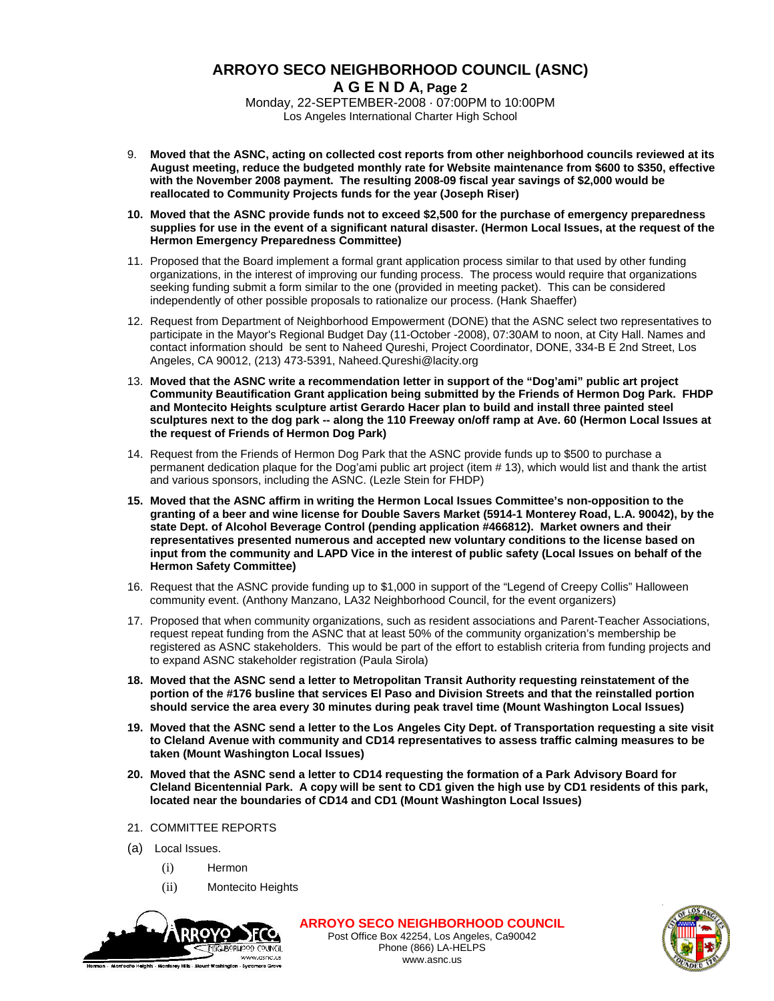# **ARROYO SECO NEIGHBORHOOD COUNCIL (ASNC) A G E N D A, Page 2**

Monday, 22-SEPTEMBER-2008 · 07:00PM to 10:00PM Los Angeles International Charter High School

- 9. **Moved that the ASNC, acting on collected cost reports from other neighborhood councils reviewed at its August meeting, reduce the budgeted monthly rate for Website maintenance from \$600 to \$350, effective with the November 2008 payment. The resulting 2008-09 fiscal year savings of \$2,000 would be reallocated to Community Projects funds for the year (Joseph Riser)**
- **10. Moved that the ASNC provide funds not to exceed \$2,500 for the purchase of emergency preparedness supplies for use in the event of a significant natural disaster. (Hermon Local Issues, at the request of the Hermon Emergency Preparedness Committee)**
- 11. Proposed that the Board implement a formal grant application process similar to that used by other funding organizations, in the interest of improving our funding process. The process would require that organizations seeking funding submit a form similar to the one (provided in meeting packet). This can be considered independently of other possible proposals to rationalize our process. (Hank Shaeffer)
- 12. Request from Department of Neighborhood Empowerment (DONE) that the ASNC select two representatives to participate in the Mayor's Regional Budget Day (11-October -2008), 07:30AM to noon, at City Hall. Names and contact information should be sent to Naheed Qureshi, Project Coordinator, DONE, 334-B E 2nd Street, Los Angeles, CA 90012, (213) 473-5391, Naheed.Qureshi@lacity.org
- 13. **Moved that the ASNC write a recommendation letter in support of the "Dog'ami" public art project Community Beautification Grant application being submitted by the Friends of Hermon Dog Park. FHDP and Montecito Heights sculpture artist Gerardo Hacer plan to build and install three painted steel sculptures next to the dog park -- along the 110 Freeway on/off ramp at Ave. 60 (Hermon Local Issues at the request of Friends of Hermon Dog Park)**
- 14. Request from the Friends of Hermon Dog Park that the ASNC provide funds up to \$500 to purchase a permanent dedication plaque for the Dog'ami public art project (item # 13), which would list and thank the artist and various sponsors, including the ASNC. (Lezle Stein for FHDP)
- **15. Moved that the ASNC affirm in writing the Hermon Local Issues Committee's non-opposition to the granting of a beer and wine license for Double Savers Market (5914-1 Monterey Road, L.A. 90042), by the state Dept. of Alcohol Beverage Control (pending application #466812). Market owners and their representatives presented numerous and accepted new voluntary conditions to the license based on input from the community and LAPD Vice in the interest of public safety (Local Issues on behalf of the Hermon Safety Committee)**
- 16. Request that the ASNC provide funding up to \$1,000 in support of the "Legend of Creepy Collis" Halloween community event. (Anthony Manzano, LA32 Neighborhood Council, for the event organizers)
- 17. Proposed that when community organizations, such as resident associations and Parent-Teacher Associations, request repeat funding from the ASNC that at least 50% of the community organization's membership be registered as ASNC stakeholders. This would be part of the effort to establish criteria from funding projects and to expand ASNC stakeholder registration (Paula Sirola)
- **18. Moved that the ASNC send a letter to Metropolitan Transit Authority requesting reinstatement of the portion of the #176 busline that services El Paso and Division Streets and that the reinstalled portion should service the area every 30 minutes during peak travel time (Mount Washington Local Issues)**
- **19. Moved that the ASNC send a letter to the Los Angeles City Dept. of Transportation requesting a site visit to Cleland Avenue with community and CD14 representatives to assess traffic calming measures to be taken (Mount Washington Local Issues)**
- **20. Moved that the ASNC send a letter to CD14 requesting the formation of a Park Advisory Board for Cleland Bicentennial Park. A copy will be sent to CD1 given the high use by CD1 residents of this park, located near the boundaries of CD14 and CD1 (Mount Washington Local Issues)**
- 21. COMMITTEE REPORTS
- (a) Local Issues.
	- (i) Hermon
	- (ii) Montecito Heights



**ARROYO SECO NEIGHBORHOOD COUNCIL** Post Office Box 42254, Los Angeles, Ca90042 Phone (866) LA-HELPS www.asnc.us

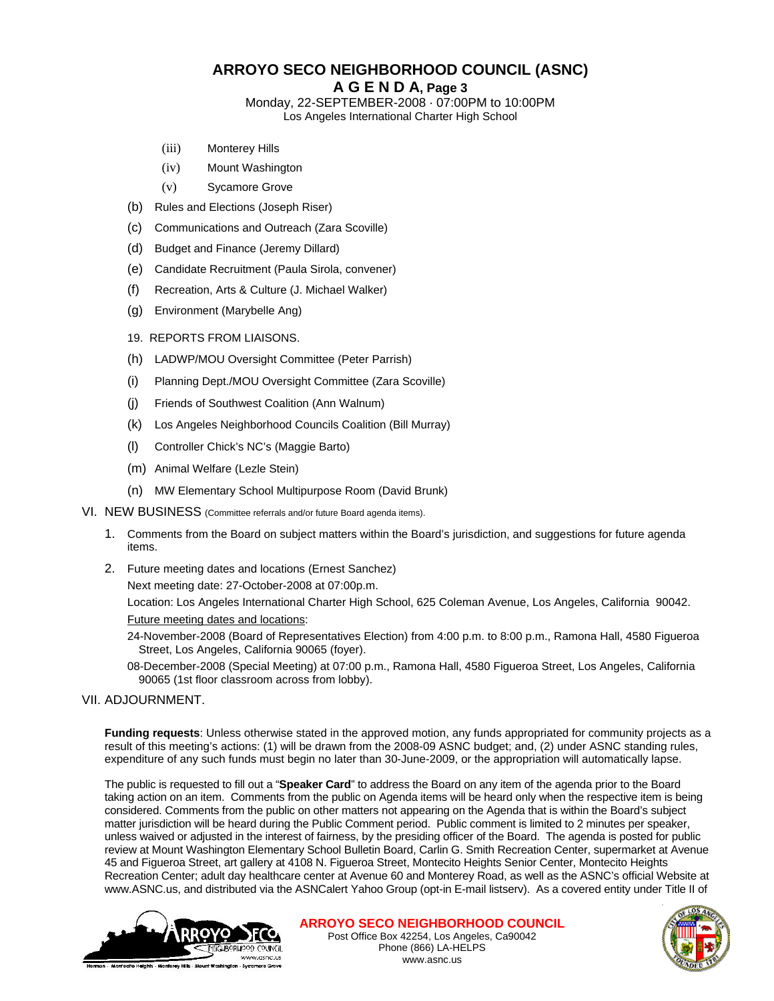# **ARROYO SECO NEIGHBORHOOD COUNCIL (ASNC)**

### **A G E N D A, Page 3**

Monday, 22-SEPTEMBER-2008 · 07:00PM to 10:00PM Los Angeles International Charter High School

- (iii) Monterey Hills
- (iv) Mount Washington
- (v) Sycamore Grove
- (b) Rules and Elections (Joseph Riser)
- (c) Communications and Outreach (Zara Scoville)
- (d) Budget and Finance (Jeremy Dillard)
- (e) Candidate Recruitment (Paula Sirola, convener)
- (f) Recreation, Arts & Culture (J. Michael Walker)
- (g) Environment (Marybelle Ang)
- 19. REPORTS FROM LIAISONS.
- (h) LADWP/MOU Oversight Committee (Peter Parrish)
- (i) Planning Dept./MOU Oversight Committee (Zara Scoville)
- (j) Friends of Southwest Coalition (Ann Walnum)
- (k) Los Angeles Neighborhood Councils Coalition (Bill Murray)
- (l) Controller Chick's NC's (Maggie Barto)
- (m) Animal Welfare (Lezle Stein)
- (n) MW Elementary School Multipurpose Room (David Brunk)
- VI. NEW BUSINESS (Committee referrals and/or future Board agenda items).
	- 1. Comments from the Board on subject matters within the Board's jurisdiction, and suggestions for future agenda items.
	- 2. Future meeting dates and locations (Ernest Sanchez)

Next meeting date: 27-October-2008 at 07:00p.m.

Location: Los Angeles International Charter High School, 625 Coleman Avenue, Los Angeles, California 90042. Future meeting dates and locations:

24-November-2008 (Board of Representatives Election) from 4:00 p.m. to 8:00 p.m., Ramona Hall, 4580 Figueroa Street, Los Angeles, California 90065 (foyer).

08-December-2008 (Special Meeting) at 07:00 p.m., Ramona Hall, 4580 Figueroa Street, Los Angeles, California 90065 (1st floor classroom across from lobby).

### VII. ADJOURNMENT.

**Funding requests**: Unless otherwise stated in the approved motion, any funds appropriated for community projects as a result of this meeting's actions: (1) will be drawn from the 2008-09 ASNC budget; and, (2) under ASNC standing rules, expenditure of any such funds must begin no later than 30-June-2009, or the appropriation will automatically lapse.

The public is requested to fill out a "**Speaker Card**" to address the Board on any item of the agenda prior to the Board taking action on an item. Comments from the public on Agenda items will be heard only when the respective item is being considered. Comments from the public on other matters not appearing on the Agenda that is within the Board's subject matter jurisdiction will be heard during the Public Comment period. Public comment is limited to 2 minutes per speaker, unless waived or adjusted in the interest of fairness, by the presiding officer of the Board. The agenda is posted for public review at Mount Washington Elementary School Bulletin Board, Carlin G. Smith Recreation Center, supermarket at Avenue 45 and Figueroa Street, art gallery at 4108 N. Figueroa Street, Montecito Heights Senior Center, Montecito Heights Recreation Center; adult day healthcare center at Avenue 60 and Monterey Road, as well as the ASNC's official Website at www.ASNC.us, and distributed via the ASNCalert Yahoo Group (opt-in E-mail listserv). As a covered entity under Title II of



**ARROYO SECO NEIGHBORHOOD COUNCIL** Post Office Box 42254, Los Angeles, Ca90042 Phone (866) LA-HELPS

www.asnc.us